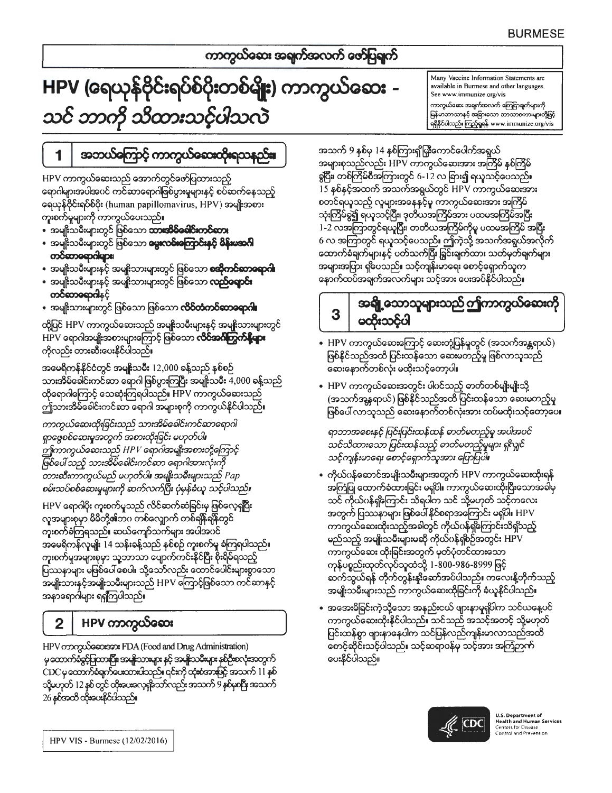### ကာကွယ်လေး အချက်အလက် ဖော်ပြချက်

# HPV (ရေယုန်ဗိုင်းရပ်စ်ပိုးတစ်မျိုး) ကာကွယ်ဆေး -သင် ဘာကို သိထားသင့်ပါသလဲ

Many Vaccine Information Statements are available in Burmese and other languages. See www.immunize.org/vis ကာကွယ်စေား အရက်အလက် ကြေငြာချက်များကို မြန်မာဘာသာနှင့် အခြားသော ဘာသာစကားများတို့ဖြင့် ရရှိနိုင်ပါသည်။ ကြည့်ရှုရန် www.immunize.org/vis

# အဘယ်ကြောင့် ကာကွယ်လေးထိုးရသနည်း။

HPV ကာကွယ်ဆေးသည် အောက်တွင်ဖော်ပြထားသည့် ရောဂါများအပါအပင် ကင်ဆာရောဂါဖြစ်ပွားမှုများနှင့် စပ်ဆက်နေသည့် ရေယုန်ဗိုင်းရပ်စ်ပိုး (human papillomavirus, HPV) အမျိုးအစား ကူးစက်မှုများကို ကာကွယ်ပေးသည်။

• အမျိုးသမီးများတွင် ဖြစ်သော **သားအိမ်ခေါင်းကင်တေး** 

1

- အမျိုးသမီးများတွင် ဖြစ်သော **မွေးလစ်းကြောင်းနှင့် မိန်းမအင်္ဂါ** ကင်တာခရာဂါများ၊
- အမျိုးသမီးများနှင့် အမျိုးသားများတွင် ဖြစ်သော **စအိုကင်ဆာခရာဂါ**
- အမျိုးသမီးများနှင့် အမျိုးသားများတွင် ဖြစ်သော **လည်ရောင်း** က**်တာရောဂါ**နှင့်
- အမျိုးသားများတွင် ဖြစ်သော ဖြစ်သော **လိင်တံကင်ဆာခရာဂါ**။

ထို့ပြင် HPV ကာကွယ်ဆေးသည် အမျိုးသမီးများနှင့် အမျိုးသားများတွင် HPV ရောဂါအမျိုးအစားများကြောင့် ဖြစ်သော **လိဝ်အင်္ဂါကွက်နို့များ** ကိုလည်း တားဆီးပေးနိုင်ပါသည်။

အမေရိကန်နိုင်ငံတွင် အမျိုးသမီး 12,000 ခန့်သည် နစ်စဉ် သားအိမ်ခေါင်းကင်ဆာ ရောဂါ ဖြစ်ပွားကြပြီး အမျိုးသမီး 4,000 ခန့်သည် ထိုရောဂါကြောင့် သေဆုံးကြရပါသည်။ HPV ကာကွယ်ဆေးသည် ဤသားအိမ်ခေါင်းကင်ဆာ ရောဂါ အများစုကို ကာကွယ်နိင်ပါသည်။

ကာကွယ်ဆေးထိုးခြင်းသည် သားအိမ်ခေါင်းကင်ဆာရောဂါ ရှာဖွေစစ်ဆေးမှုအတွက် အစားထိုးခြင်း မဟုတ်ပါ။ ဤကာကွယ်ဆေးသည် HPV ရောဂါအမျိုးအစားတို့ကြောင့် ဖြစ်ပေါ် သည့် သားအိမ်ခေါင်းကင်ဆာ ရောဂါအားလုံးကို တားဆီးကာကွယ်မည် မဟုတ်ပါ။ အမျိုးသမီးများသည် Pap စမ်းသပ်စစ်ဆေးမှုများကို ဆက်လက်ပြီး ပုံမှန်ခံယူ သင့်ပါသည်။

HPV ရောဂါပိုး ကူးစက်မှုသည် လိင်ဆက်ဆံခြင်းမှ ဖြစ်လေ့ရှိပြီး လူအများစုမှာ မိမိတို့၏ဘဂ တစ်လျောက် တစ်ချိန်ချိန်တွင် ကူးစက်ခံကြရသည်။ ဆယ်ကျော်သက်များ အပါအပင် အမေရိကန်လူမျိုး 14 သန်းခန့်သည် နှစ်စဉ် ကူးစက်မှု ခံကြရပါသည်။ ကူးစက်မှုအများစုမှာ သူ့ဘာသာ ပျောက်ကင်းနိုင်ပြီး စိုးရိမ်ရသည့် ပြဿနာများ မဖြစ်ပေါ် စေပါ။ သို့သော်လည်း ထောင်ပေါင်းများစွာသော အမျိုးသားနှင့်အမျိုးသမီးများသည် HPV ကြောင့်ဖြစ်သော ကင်ဆာနှင့် အနာရောဂါများ ရရှိကြပါသည်။

## HPV ကာကွယ်ဆေး

 $\overline{2}$ 

HPV monguSocosson: FDA (Food and Drug Administration) မှ ထောက်ခံခွင့်ပြထားပြီး၊ အမျိုးသားများ နှင့် အမျိုးသမီးများ နှစ်ဦးစလုံးအတွက် CDC မှထောက်ခံရက်ယောအသည်။ ၎င်းကို ထုံးစံအားဖြင့် အသက် 11 နှစ် သို့မဟုတ် 12 နှစ် တွင် ထိုးမေးလေ့ရှိသော်လည်း အသက် 9 နှစ်မှစပြီး အသက် 26 နှစ်အထိ ထိုးပေးနိုင်ပါသည်။

အသက် 9 နှစ်မှ 14 နှစ်ကြားရှိမြှို့ကောင်ပေါက်အရွယ် အများစုသည်လည်း HPV ကာကွယ်ဆေးအား အကြိမ် နစ်ကြိမ် ခွပြီး၊ တစ်ကြိမ်စီအကြားတွင် 6-12 လ ခြား၍ ရယူသင့်ပေသည်။ 15 နစ်နှင့်အထက် အသက်အရွယ်တွင် HPV ကာကွယ်ဆေးအား စတင်ရယူသည့် လူများအနေနင့်မူ ကာကွယ်ဆေးအား အကြိမ် သုံးကြိမ်ခွဲ၍ ရယူသင့်ပြီး၊ ဒုတိယအကြိမ်အား ပထမအကြိမ်အပြီး 1-2 လအကြာတွင်ရယူပြီး၊ တတိယအကြိမ်ကိုမူ ပထမအကြိမ် အပြီး 6 လ အကြာတွင် ရယူသင့်ပေသည်။ ဤကဲ့သို့ အသက်အရွယ်အလိုက် ထောက်စီချက်များနှင့် ပတ်သက်ပြီး ရြှင်းချက်ထား သတ်မှတ်ချက်များ အများအပြား ရှိပေသည်။ သင့်ကျန်းမာရေး စောင့်ရှောက်သူက နောက်ထပ်အချက်အလက်များ သင့်အား ပေးအပ်နိုင်ပါသည်။

#### အရျို့သောသူများသည် ဤကာကွယ်ဆေးကို 3 မထီးသင်ပါ

- HPV ကာကွယ်ဆေးကြောင့် ဆေးတုံ့ပြန်မှုတွင် (အသက်အန္တရာယ်) ဖြစ်နိုင်သည်အထိ ပြင်းထန်သော ဆေးမတည့်မှု ဖြစ်လာသူသည် ဆေးနောက်တစ်လုံး မထိုးသင့်တော့ပါ။
- HPV ကာကွယ်ဆေးအတွင်း ပါဂင်သည့် ဓာတ်တစ်မျိုးမျိုးသို့ (အသက်အန္တရာယ်) ဖြစ်နိုင်သည်အထိ ပြင်းထန်သော ဆေးမတည့်မှု ဖြစ်ပေါ် လာသူသည် ဆေးနောက်တစ်လုံးအား ထပ်မထိုးသင့်တော့ပေ၊

ရာဘာအစေးနင့် ပြင်းပြင်းထန်ထန် ဓာတ်မတည့်မှု အပါအဝင် သင်သိထားသော ပြင်းထန်သည့် ဓာတ်မတည့်မှုများ ရှ<လျှင် သင့်ကျန်းမာရေး စောင့်ရှောက်သူအား ပြောပြပါ။

- ကိုယ်ပန်ဆောင်အမျိုးသမီးများအတွက် HPV ကာကွယ်ဆေးထိုးရန် အကြံပြု ထောက်ခံထားခြင်း မရှိပါ။ ကာကွယ်ဆေးထိုးပြီးသောအခါမှ သင် ကိုယ်ပန်ရှိကြောင်း သိရပါက သင် သို့မဟုတ် သင့်ကလေး အတွက် ပြဿနာများ ဖြစ်ပေါ် နိုင်စရာအကြောင်း မရှိပါ။ HPV ကာကွယ်ဆေးထိုးသည့်အခါတွင် ကိုယ်ဂန်ရှိကြောင်းသိရှိသည့် မည်သည့် အမျိုးသမီးများမဆို ကိုယ်ပန်ရှစ်ဉ်အတွင်း HPV ကာကွယ်ဆေး ထိုးခြင်းအတွက် မှတ်ပုံတင်ထားသော ကုန်ပစ္စည်းထုတ်လုပ်သူထံသို့ 1-800-986-8999 ဖြင့် ဆက်သွယ်ရန် တိုက်တွန်းနၗိဆော်အပ်ပါသည်။ ကလေးနို့တိုက်သည့် အမျိုးသမီးများသည် ကာကွယ်ဆေးထိုခြင်းကို ခံယူနိုင်ပါသည်။
- အအေးမိခြင်းကဲ့သို့သော အနည်းငယ် ဖျားနာမှုရှိပါက သင်ယနေ့ပင် ကာကွယ်ဆေးထိုးနိုင်ပါသည်။ သင်သည် အသင့်အတင့် သို့မဟုတ် ပြင်းထန်စွာ ဖျားနာနေပါက သင်ပြန်လည်ကျန်းမာလာသည်အထိ စောင့်ဆိုင်းသင့်ပါသည်။ သင့်ဆရာပန်မှ သင့်အား အကြံဉာဏ် ပေးနိုင်ပါသည်။